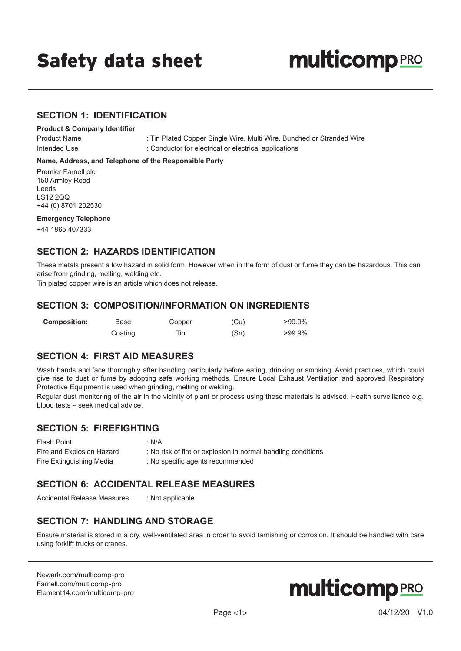## Safety data sheet

# **multicomp** PRO

#### **SECTION 1: IDENTIFICATION**

#### **Product & Company Identifier**

Product Name : Tin Plated Copper Single Wire, Multi Wire, Bunched or Stranded Wire Intended Use : Conductor for electrical or electrical applications

#### **Name, Address, and Telephone of the Responsible Party**

Premier Farnell plc 150 Armley Road Leeds LS12 2QQ +44 (0) 8701 202530

#### **Emergency Telephone**

+44 1865 407333

#### **SECTION 2: HAZARDS IDENTIFICATION**

These metals present a low hazard in solid form. However when in the form of dust or fume they can be hazardous. This can arise from grinding, melting, welding etc.

Tin plated copper wire is an article which does not release.

#### **SECTION 3: COMPOSITION/INFORMATION ON INGREDIENTS**

| <b>Composition:</b> | Base    | Copper | (Cu) | $>99.9\%$ |
|---------------------|---------|--------|------|-----------|
|                     | Coating | Tin    | (Sn) | $>99.9\%$ |

#### **SECTION 4: FIRST AID MEASURES**

Wash hands and face thoroughly after handling particularly before eating, drinking or smoking. Avoid practices, which could give rise to dust or fume by adopting safe working methods. Ensure Local Exhaust Ventilation and approved Respiratory Protective Equipment is used when grinding, melting or welding.

Regular dust monitoring of the air in the vicinity of plant or process using these materials is advised. Health surveillance e.g. blood tests – seek medical advice.

## **SECTION 5: FIREFIGHTING**

Flash Point : N/A Fire and Explosion Hazard : No risk of fire or explosion in normal handling conditions Fire Extinguishing Media : No specific agents recommended

#### **SECTION 6: ACCIDENTAL RELEASE MEASURES**

Accidental Release Measures : Not applicable

## **SECTION 7: HANDLING AND STORAGE**

Ensure material is stored in a dry, well-ventilated area in order to avoid tarnishing or corrosion. It should be handled with care using forklift trucks or cranes.

[Newark.com/multicomp-](https://www.newark.com/multicomp-pro)pro [Farnell.com/multicomp](https://www.farnell.com/multicomp-pro)-pro [Element14.com/multicomp-pro](https://element14.com/multicomp-pro)

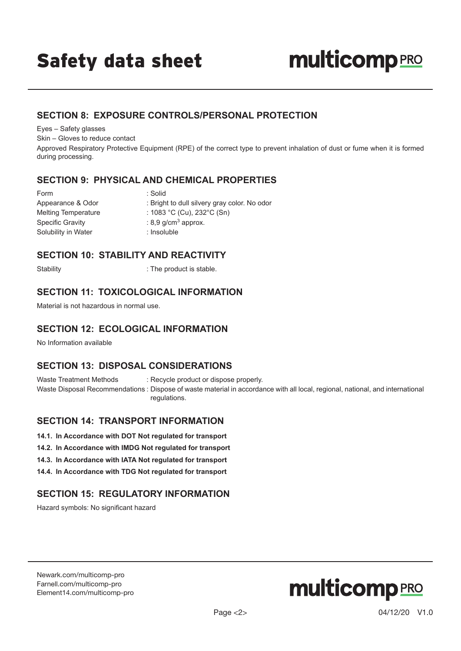#### **SECTION 8: EXPOSURE CONTROLS/PERSONAL PROTECTION**

Eyes – Safety glasses

Skin – Gloves to reduce contact

Approved Respiratory Protective Equipment (RPE) of the correct type to prevent inhalation of dust or fume when it is formed during processing.

#### **SECTION 9: PHYSICAL AND CHEMICAL PROPERTIES**

| Form                       | : Solid                                      |
|----------------------------|----------------------------------------------|
| Appearance & Odor          | : Bright to dull silvery gray color. No odor |
| <b>Melting Temperature</b> | : 1083 °C (Cu), 232°C (Sn)                   |
| <b>Specific Gravity</b>    | : 8,9 g/cm <sup>3</sup> approx.              |
| Solubility in Water        | : Insoluble                                  |
|                            |                                              |

#### **SECTION 10: STABILITY AND REACTIVITY**

Stability : The product is stable.

#### **SECTION 11: TOXICOLOGICAL INFORMATION**

Material is not hazardous in normal use.

## **SECTION 12: ECOLOGICAL INFORMATION**

No Information available

## **SECTION 13: DISPOSAL CONSIDERATIONS**

Waste Treatment Methods : Recycle product or dispose properly.

Waste Disposal Recommendations : Dispose of waste material in accordance with all local, regional, national, and international regulations.

#### **SECTION 14: TRANSPORT INFORMATION**

- **14.1. In Accordance with DOT Not regulated for transport**
- **14.2. In Accordance with IMDG Not regulated for transport**
- **14.3. In Accordance with IATA Not regulated for transport**
- **14.4. In Accordance with TDG Not regulated for transport**

## **SECTION 15: REGULATORY INFORMATION**

Hazard symbols: No significant hazard

[Newark.com/multicomp-](https://www.newark.com/multicomp-pro)pro [Farnell.com/multicomp](https://www.farnell.com/multicomp-pro)-pro [Element14.com/multicomp-pro](https://element14.com/multicomp-pro)